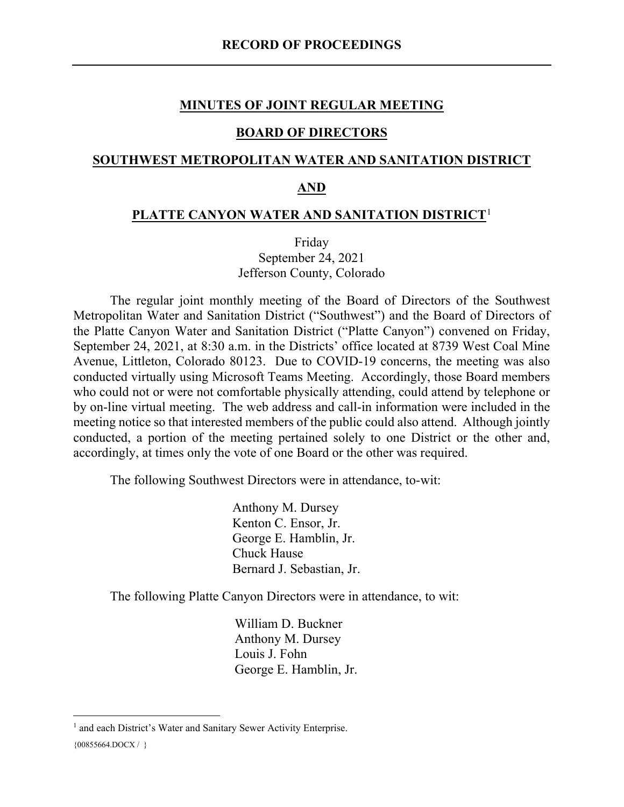### **MINUTES OF JOINT REGULAR MEETING**

#### **BOARD OF DIRECTORS**

### **SOUTHWEST METROPOLITAN WATER AND SANITATION DISTRICT**

#### **AND**

#### **PLATTE CANYON WATER AND SANITATION DISTRICT**[1](#page-0-0)

Friday September 24, 2021 Jefferson County, Colorado

The regular joint monthly meeting of the Board of Directors of the Southwest Metropolitan Water and Sanitation District ("Southwest") and the Board of Directors of the Platte Canyon Water and Sanitation District ("Platte Canyon") convened on Friday, September 24, 2021, at 8:30 a.m. in the Districts' office located at 8739 West Coal Mine Avenue, Littleton, Colorado 80123. Due to COVID-19 concerns, the meeting was also conducted virtually using Microsoft Teams Meeting. Accordingly, those Board members who could not or were not comfortable physically attending, could attend by telephone or by on-line virtual meeting. The web address and call-in information were included in the meeting notice so that interested members of the public could also attend. Although jointly conducted, a portion of the meeting pertained solely to one District or the other and, accordingly, at times only the vote of one Board or the other was required.

The following Southwest Directors were in attendance, to-wit:

Anthony M. Dursey Kenton C. Ensor, Jr. George E. Hamblin, Jr. Chuck Hause Bernard J. Sebastian, Jr.

The following Platte Canyon Directors were in attendance, to wit:

William D. Buckner Anthony M. Dursey Louis J. Fohn George E. Hamblin, Jr.

<span id="page-0-0"></span><sup>&</sup>lt;sup>1</sup> and each District's Water and Sanitary Sewer Activity Enterprise.

 ${00855664. \text{DOCX} / }$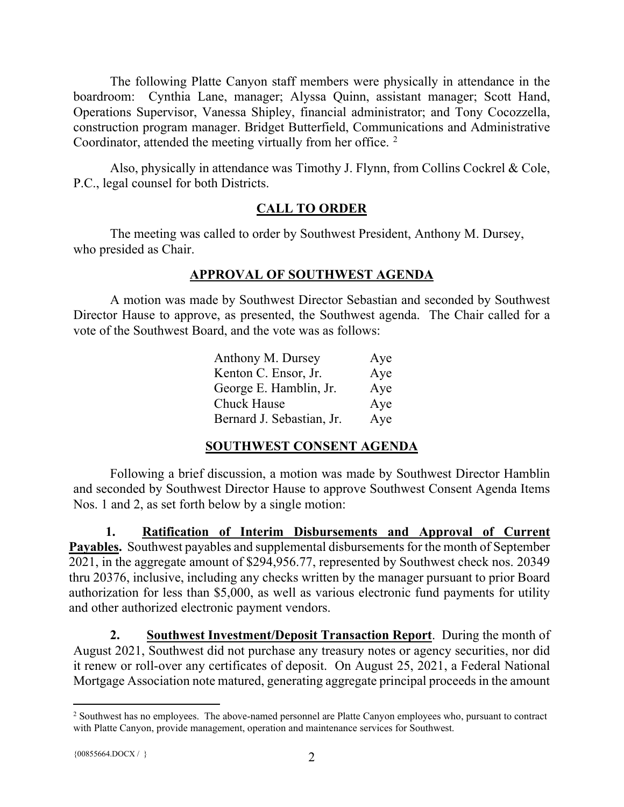The following Platte Canyon staff members were physically in attendance in the boardroom: Cynthia Lane, manager; Alyssa Quinn, assistant manager; Scott Hand, Operations Supervisor, Vanessa Shipley, financial administrator; and Tony Cocozzella, construction program manager. Bridget Butterfield, Communications and Administrative Coordinator, attended the meeting virtually from her office.<sup>[2](#page-1-0)</sup>

Also, physically in attendance was Timothy J. Flynn, from Collins Cockrel & Cole, P.C., legal counsel for both Districts.

# **CALL TO ORDER**

The meeting was called to order by Southwest President, Anthony M. Dursey, who presided as Chair.

# **APPROVAL OF SOUTHWEST AGENDA**

A motion was made by Southwest Director Sebastian and seconded by Southwest Director Hause to approve, as presented, the Southwest agenda. The Chair called for a vote of the Southwest Board, and the vote was as follows:

| Anthony M. Dursey         | Aye |
|---------------------------|-----|
| Kenton C. Ensor, Jr.      | Aye |
| George E. Hamblin, Jr.    | Aye |
| Chuck Hause               | Aye |
| Bernard J. Sebastian, Jr. | Aye |

# **SOUTHWEST CONSENT AGENDA**

Following a brief discussion, a motion was made by Southwest Director Hamblin and seconded by Southwest Director Hause to approve Southwest Consent Agenda Items Nos. 1 and 2, as set forth below by a single motion:

**1. Ratification of Interim Disbursements and Approval of Current Payables.** Southwest payables and supplemental disbursements for the month of September 2021, in the aggregate amount of \$294,956.77, represented by Southwest check nos. 20349 thru 20376, inclusive, including any checks written by the manager pursuant to prior Board authorization for less than \$5,000, as well as various electronic fund payments for utility and other authorized electronic payment vendors.

**2. Southwest Investment/Deposit Transaction Report**. During the month of August 2021, Southwest did not purchase any treasury notes or agency securities, nor did it renew or roll-over any certificates of deposit. On August 25, 2021, a Federal National Mortgage Association note matured, generating aggregate principal proceeds in the amount

<span id="page-1-0"></span><sup>&</sup>lt;sup>2</sup> Southwest has no employees. The above-named personnel are Platte Canyon employees who, pursuant to contract with Platte Canyon, provide management, operation and maintenance services for Southwest.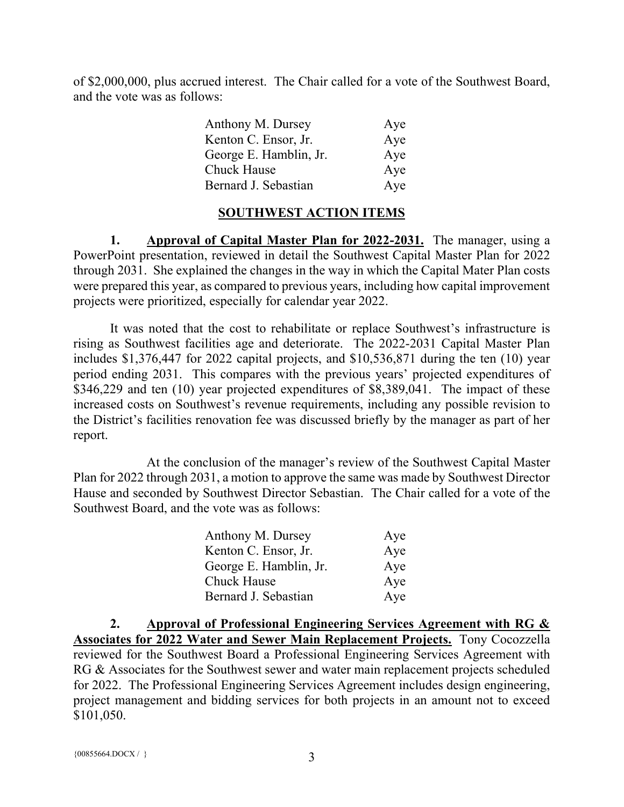of \$2,000,000, plus accrued interest. The Chair called for a vote of the Southwest Board, and the vote was as follows:

| Anthony M. Dursey      | Aye |
|------------------------|-----|
| Kenton C. Ensor, Jr.   | Aye |
| George E. Hamblin, Jr. | Aye |
| <b>Chuck Hause</b>     | Aye |
| Bernard J. Sebastian   | Aye |

### **SOUTHWEST ACTION ITEMS**

**1. Approval of Capital Master Plan for 2022-2031.** The manager, using a PowerPoint presentation, reviewed in detail the Southwest Capital Master Plan for 2022 through 2031. She explained the changes in the way in which the Capital Mater Plan costs were prepared this year, as compared to previous years, including how capital improvement projects were prioritized, especially for calendar year 2022.

It was noted that the cost to rehabilitate or replace Southwest's infrastructure is rising as Southwest facilities age and deteriorate. The 2022-2031 Capital Master Plan includes \$1,376,447 for 2022 capital projects, and \$10,536,871 during the ten (10) year period ending 2031. This compares with the previous years' projected expenditures of \$346,229 and ten (10) year projected expenditures of \$8,389,041. The impact of these increased costs on Southwest's revenue requirements, including any possible revision to the District's facilities renovation fee was discussed briefly by the manager as part of her report.

At the conclusion of the manager's review of the Southwest Capital Master Plan for 2022 through 2031, a motion to approve the same was made by Southwest Director Hause and seconded by Southwest Director Sebastian. The Chair called for a vote of the Southwest Board, and the vote was as follows:

| Anthony M. Dursey      | Aye |
|------------------------|-----|
| Kenton C. Ensor, Jr.   | Aye |
| George E. Hamblin, Jr. | Aye |
| <b>Chuck Hause</b>     | Aye |
| Bernard J. Sebastian   | Aye |

**2. Approval of Professional Engineering Services Agreement with RG & Associates for 2022 Water and Sewer Main Replacement Projects.** Tony Cocozzella reviewed for the Southwest Board a Professional Engineering Services Agreement with RG & Associates for the Southwest sewer and water main replacement projects scheduled for 2022. The Professional Engineering Services Agreement includes design engineering, project management and bidding services for both projects in an amount not to exceed \$101,050.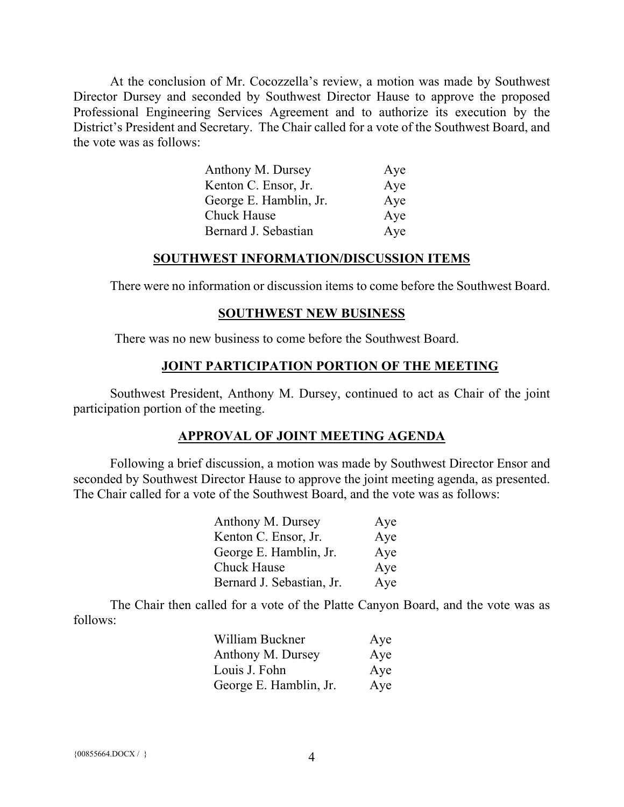At the conclusion of Mr. Cocozzella's review, a motion was made by Southwest Director Dursey and seconded by Southwest Director Hause to approve the proposed Professional Engineering Services Agreement and to authorize its execution by the District's President and Secretary. The Chair called for a vote of the Southwest Board, and the vote was as follows:

| Anthony M. Dursey      | Aye |
|------------------------|-----|
| Kenton C. Ensor, Jr.   | Aye |
| George E. Hamblin, Jr. | Aye |
| <b>Chuck Hause</b>     | Aye |
| Bernard J. Sebastian   | Aye |

#### **SOUTHWEST INFORMATION/DISCUSSION ITEMS**

There were no information or discussion items to come before the Southwest Board.

#### **SOUTHWEST NEW BUSINESS**

There was no new business to come before the Southwest Board.

#### **JOINT PARTICIPATION PORTION OF THE MEETING**

Southwest President, Anthony M. Dursey, continued to act as Chair of the joint participation portion of the meeting.

#### **APPROVAL OF JOINT MEETING AGENDA**

Following a brief discussion, a motion was made by Southwest Director Ensor and seconded by Southwest Director Hause to approve the joint meeting agenda, as presented. The Chair called for a vote of the Southwest Board, and the vote was as follows:

| Anthony M. Dursey         | Aye |
|---------------------------|-----|
| Kenton C. Ensor, Jr.      | Aye |
| George E. Hamblin, Jr.    | Aye |
| <b>Chuck Hause</b>        | Aye |
| Bernard J. Sebastian, Jr. | Aye |

The Chair then called for a vote of the Platte Canyon Board, and the vote was as follows:

| William Buckner        | Aye |
|------------------------|-----|
| Anthony M. Dursey      | Aye |
| Louis J. Fohn          | Aye |
| George E. Hamblin, Jr. | Aye |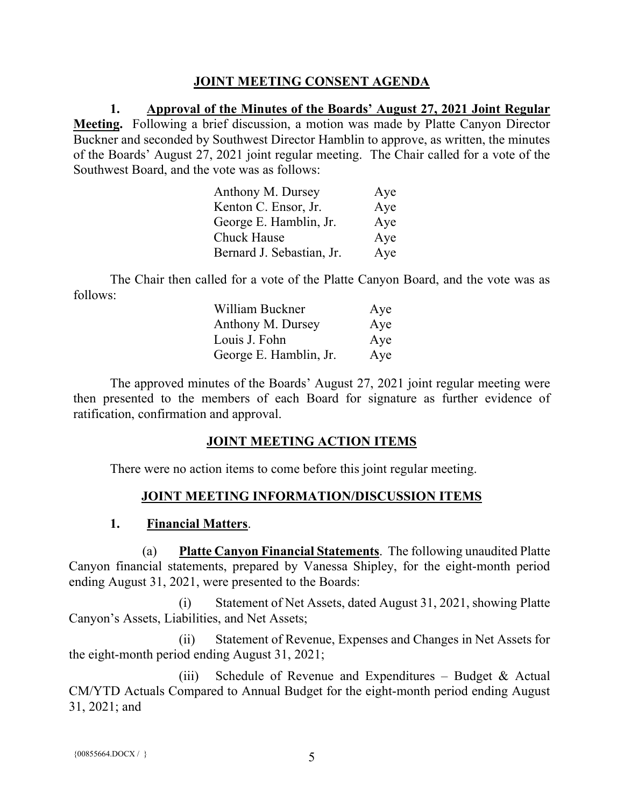## **JOINT MEETING CONSENT AGENDA**

**1. Approval of the Minutes of the Boards' August 27, 2021 Joint Regular Meeting.** Following a brief discussion, a motion was made by Platte Canyon Director Buckner and seconded by Southwest Director Hamblin to approve, as written, the minutes of the Boards' August 27, 2021 joint regular meeting. The Chair called for a vote of the Southwest Board, and the vote was as follows:

| Anthony M. Dursey         | Aye |
|---------------------------|-----|
| Kenton C. Ensor, Jr.      | Aye |
| George E. Hamblin, Jr.    | Aye |
| <b>Chuck Hause</b>        | Aye |
| Bernard J. Sebastian, Jr. | Aye |

The Chair then called for a vote of the Platte Canyon Board, and the vote was as follows:

| William Buckner        | Aye |
|------------------------|-----|
| Anthony M. Dursey      | Aye |
| Louis J. Fohn          | Aye |
| George E. Hamblin, Jr. | Aye |

The approved minutes of the Boards' August 27, 2021 joint regular meeting were then presented to the members of each Board for signature as further evidence of ratification, confirmation and approval.

# **JOINT MEETING ACTION ITEMS**

There were no action items to come before this joint regular meeting.

# **JOINT MEETING INFORMATION/DISCUSSION ITEMS**

## **1. Financial Matters**.

(a) **Platte Canyon Financial Statements**. The following unaudited Platte Canyon financial statements, prepared by Vanessa Shipley, for the eight-month period ending August 31, 2021, were presented to the Boards:

(i) Statement of Net Assets, dated August 31, 2021, showing Platte Canyon's Assets, Liabilities, and Net Assets;

(ii) Statement of Revenue, Expenses and Changes in Net Assets for the eight-month period ending August 31, 2021;

(iii) Schedule of Revenue and Expenditures – Budget  $&$  Actual CM/YTD Actuals Compared to Annual Budget for the eight-month period ending August 31, 2021; and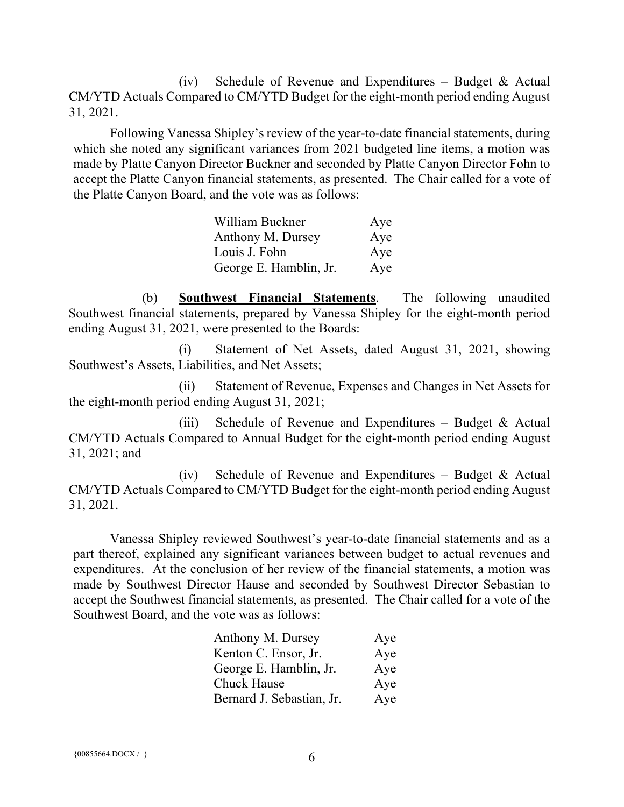(iv) Schedule of Revenue and Expenditures – Budget  $\&$  Actual CM/YTD Actuals Compared to CM/YTD Budget for the eight-month period ending August 31, 2021.

Following Vanessa Shipley's review of the year-to-date financial statements, during which she noted any significant variances from 2021 budgeted line items, a motion was made by Platte Canyon Director Buckner and seconded by Platte Canyon Director Fohn to accept the Platte Canyon financial statements, as presented. The Chair called for a vote of the Platte Canyon Board, and the vote was as follows:

| William Buckner        | Aye |
|------------------------|-----|
| Anthony M. Dursey      | Aye |
| Louis J. Fohn          | Aye |
| George E. Hamblin, Jr. | Aye |

(b) **Southwest Financial Statements**. The following unaudited Southwest financial statements, prepared by Vanessa Shipley for the eight-month period ending August 31, 2021, were presented to the Boards:

(i) Statement of Net Assets, dated August 31, 2021, showing Southwest's Assets, Liabilities, and Net Assets;

(ii) Statement of Revenue, Expenses and Changes in Net Assets for the eight-month period ending August 31, 2021;

(iii) Schedule of Revenue and Expenditures – Budget  $&$  Actual CM/YTD Actuals Compared to Annual Budget for the eight-month period ending August 31, 2021; and

(iv) Schedule of Revenue and Expenditures – Budget & Actual CM/YTD Actuals Compared to CM/YTD Budget for the eight-month period ending August 31, 2021.

Vanessa Shipley reviewed Southwest's year-to-date financial statements and as a part thereof, explained any significant variances between budget to actual revenues and expenditures. At the conclusion of her review of the financial statements, a motion was made by Southwest Director Hause and seconded by Southwest Director Sebastian to accept the Southwest financial statements, as presented. The Chair called for a vote of the Southwest Board, and the vote was as follows:

| Anthony M. Dursey         | Aye |
|---------------------------|-----|
| Kenton C. Ensor, Jr.      | Aye |
| George E. Hamblin, Jr.    | Aye |
| <b>Chuck Hause</b>        | Aye |
| Bernard J. Sebastian, Jr. | Aye |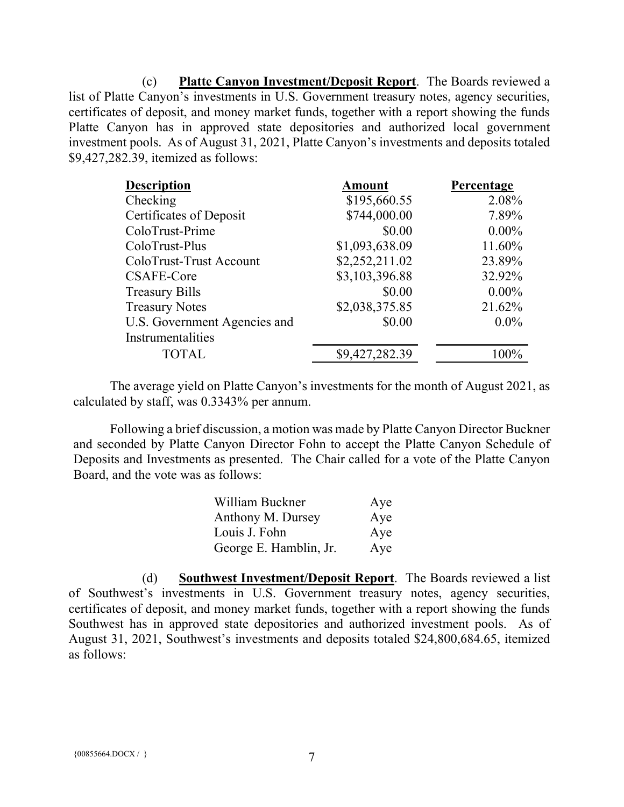(c) **Platte Canyon Investment/Deposit Report**. The Boards reviewed a list of Platte Canyon's investments in U.S. Government treasury notes, agency securities, certificates of deposit, and money market funds, together with a report showing the funds Platte Canyon has in approved state depositories and authorized local government investment pools. As of August 31, 2021, Platte Canyon's investments and deposits totaled \$9,427,282.39, itemized as follows:

| <b>Description</b>           | <b>Amount</b>  | Percentage |
|------------------------------|----------------|------------|
| Checking                     | \$195,660.55   | 2.08%      |
| Certificates of Deposit      | \$744,000.00   | 7.89%      |
| ColoTrust-Prime              | \$0.00         | $0.00\%$   |
| ColoTrust-Plus               | \$1,093,638.09 | 11.60%     |
| ColoTrust-Trust Account      | \$2,252,211.02 | 23.89%     |
| CSAFE-Core                   | \$3,103,396.88 | 32.92%     |
| <b>Treasury Bills</b>        | \$0.00         | $0.00\%$   |
| <b>Treasury Notes</b>        | \$2,038,375.85 | 21.62%     |
| U.S. Government Agencies and | \$0.00         | $0.0\%$    |
| Instrumentalities            |                |            |
| <b>TOTAL</b>                 | \$9,427,282.39 | $100\%$    |

The average yield on Platte Canyon's investments for the month of August 2021, as calculated by staff, was 0.3343% per annum.

Following a brief discussion, a motion was made by Platte Canyon Director Buckner and seconded by Platte Canyon Director Fohn to accept the Platte Canyon Schedule of Deposits and Investments as presented. The Chair called for a vote of the Platte Canyon Board, and the vote was as follows:

| William Buckner        | Aye |
|------------------------|-----|
| Anthony M. Dursey      | Aye |
| Louis J. Fohn          | Aye |
| George E. Hamblin, Jr. | Aye |

(d) **Southwest Investment/Deposit Report**. The Boards reviewed a list of Southwest's investments in U.S. Government treasury notes, agency securities, certificates of deposit, and money market funds, together with a report showing the funds Southwest has in approved state depositories and authorized investment pools. As of August 31, 2021, Southwest's investments and deposits totaled \$24,800,684.65, itemized as follows: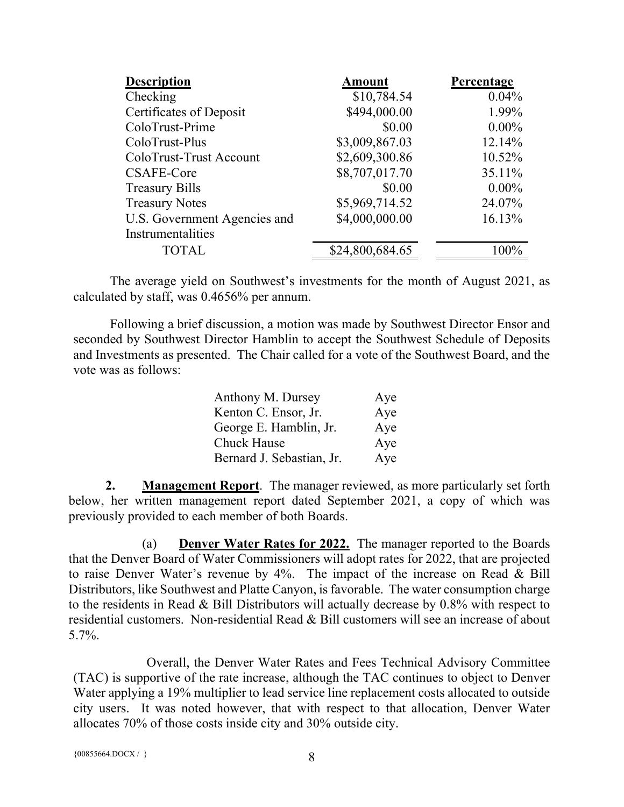| <b>Description</b>           | <b>Amount</b>   | Percentage |
|------------------------------|-----------------|------------|
| Checking                     | \$10,784.54     | 0.04%      |
| Certificates of Deposit      | \$494,000.00    | 1.99%      |
| ColoTrust-Prime              | \$0.00          | $0.00\%$   |
| ColoTrust-Plus               | \$3,009,867.03  | 12.14%     |
| ColoTrust-Trust Account      | \$2,609,300.86  | 10.52%     |
| CSAFE-Core                   | \$8,707,017.70  | 35.11%     |
| <b>Treasury Bills</b>        | \$0.00          | $0.00\%$   |
| <b>Treasury Notes</b>        | \$5,969,714.52  | 24.07%     |
| U.S. Government Agencies and | \$4,000,000.00  | 16.13%     |
| Instrumentalities            |                 |            |
| <b>TOTAL</b>                 | \$24,800,684.65 | $100\%$    |

The average yield on Southwest's investments for the month of August 2021, as calculated by staff, was 0.4656% per annum.

Following a brief discussion, a motion was made by Southwest Director Ensor and seconded by Southwest Director Hamblin to accept the Southwest Schedule of Deposits and Investments as presented. The Chair called for a vote of the Southwest Board, and the vote was as follows:

| Anthony M. Dursey         | Aye |
|---------------------------|-----|
| Kenton C. Ensor, Jr.      | Aye |
| George E. Hamblin, Jr.    | Aye |
| Chuck Hause               | Aye |
| Bernard J. Sebastian, Jr. | Aye |

**2. Management Report**. The manager reviewed, as more particularly set forth below, her written management report dated September 2021, a copy of which was previously provided to each member of both Boards.

(a) **Denver Water Rates for 2022.** The manager reported to the Boards that the Denver Board of Water Commissioners will adopt rates for 2022, that are projected to raise Denver Water's revenue by 4%. The impact of the increase on Read & Bill Distributors, like Southwest and Platte Canyon, is favorable. The water consumption charge to the residents in Read & Bill Distributors will actually decrease by 0.8% with respect to residential customers. Non-residential Read & Bill customers will see an increase of about 5.7%.

Overall, the Denver Water Rates and Fees Technical Advisory Committee (TAC) is supportive of the rate increase, although the TAC continues to object to Denver Water applying a 19% multiplier to lead service line replacement costs allocated to outside city users. It was noted however, that with respect to that allocation, Denver Water allocates 70% of those costs inside city and 30% outside city.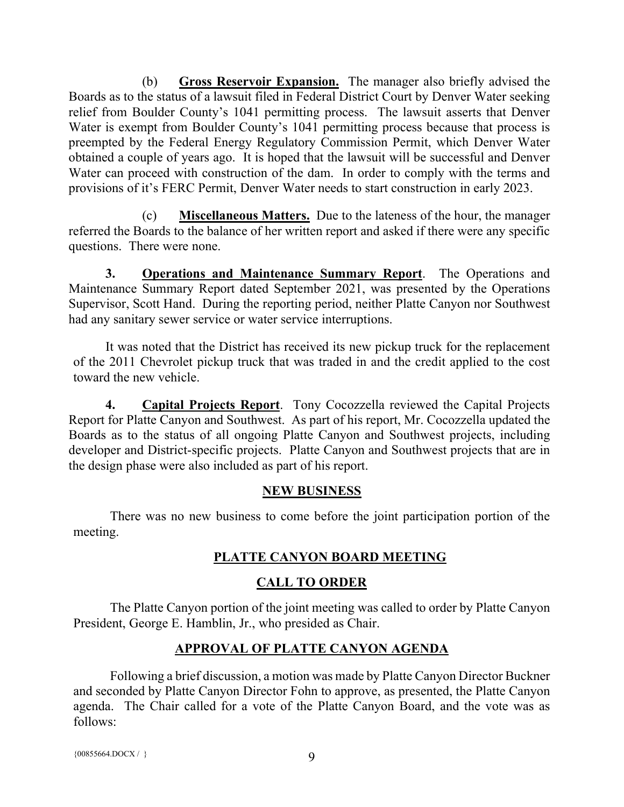(b) **Gross Reservoir Expansion.** The manager also briefly advised the Boards as to the status of a lawsuit filed in Federal District Court by Denver Water seeking relief from Boulder County's 1041 permitting process. The lawsuit asserts that Denver Water is exempt from Boulder County's 1041 permitting process because that process is preempted by the Federal Energy Regulatory Commission Permit, which Denver Water obtained a couple of years ago. It is hoped that the lawsuit will be successful and Denver Water can proceed with construction of the dam. In order to comply with the terms and provisions of it's FERC Permit, Denver Water needs to start construction in early 2023.

(c) **Miscellaneous Matters.** Due to the lateness of the hour, the manager referred the Boards to the balance of her written report and asked if there were any specific questions. There were none.

**3. Operations and Maintenance Summary Report**. The Operations and Maintenance Summary Report dated September 2021, was presented by the Operations Supervisor, Scott Hand. During the reporting period, neither Platte Canyon nor Southwest had any sanitary sewer service or water service interruptions.

It was noted that the District has received its new pickup truck for the replacement of the 2011 Chevrolet pickup truck that was traded in and the credit applied to the cost toward the new vehicle.

**4. Capital Projects Report**. Tony Cocozzella reviewed the Capital Projects Report for Platte Canyon and Southwest. As part of his report, Mr. Cocozzella updated the Boards as to the status of all ongoing Platte Canyon and Southwest projects, including developer and District-specific projects. Platte Canyon and Southwest projects that are in the design phase were also included as part of his report.

## **NEW BUSINESS**

There was no new business to come before the joint participation portion of the meeting.

# **PLATTE CANYON BOARD MEETING**

## **CALL TO ORDER**

The Platte Canyon portion of the joint meeting was called to order by Platte Canyon President, George E. Hamblin, Jr., who presided as Chair.

# **APPROVAL OF PLATTE CANYON AGENDA**

Following a brief discussion, a motion was made by Platte Canyon Director Buckner and seconded by Platte Canyon Director Fohn to approve, as presented, the Platte Canyon agenda. The Chair called for a vote of the Platte Canyon Board, and the vote was as follows:

```
{00855664.DOCX / } 9
```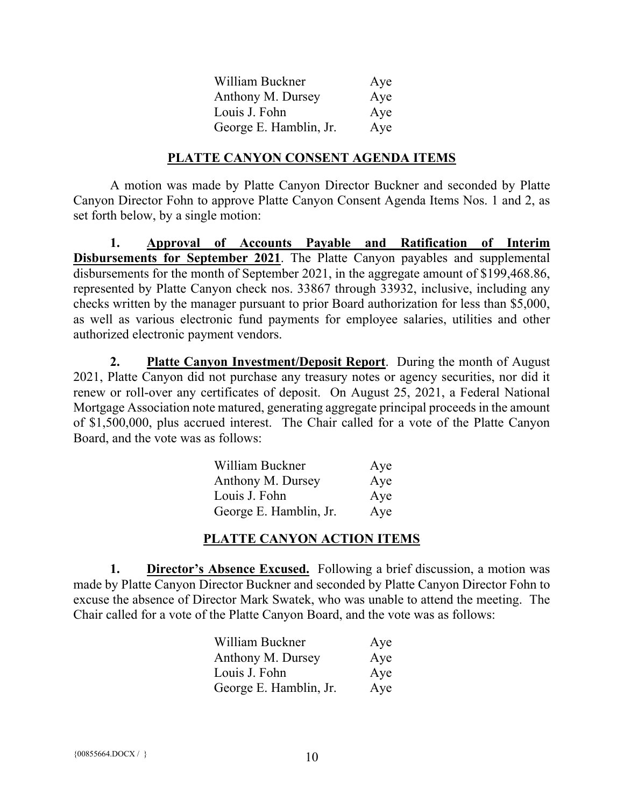| William Buckner        | Aye |
|------------------------|-----|
| Anthony M. Dursey      | Aye |
| Louis J. Fohn          | Aye |
| George E. Hamblin, Jr. | Aye |

### **PLATTE CANYON CONSENT AGENDA ITEMS**

A motion was made by Platte Canyon Director Buckner and seconded by Platte Canyon Director Fohn to approve Platte Canyon Consent Agenda Items Nos. 1 and 2, as set forth below, by a single motion:

**1. Approval of Accounts Payable and Ratification of Interim Disbursements for September 2021**. The Platte Canyon payables and supplemental disbursements for the month of September 2021, in the aggregate amount of \$199,468.86, represented by Platte Canyon check nos. 33867 through 33932, inclusive, including any checks written by the manager pursuant to prior Board authorization for less than \$5,000, as well as various electronic fund payments for employee salaries, utilities and other authorized electronic payment vendors.

**2. Platte Canyon Investment/Deposit Report**. During the month of August 2021, Platte Canyon did not purchase any treasury notes or agency securities, nor did it renew or roll-over any certificates of deposit. On August 25, 2021, a Federal National Mortgage Association note matured, generating aggregate principal proceeds in the amount of \$1,500,000, plus accrued interest. The Chair called for a vote of the Platte Canyon Board, and the vote was as follows:

| William Buckner        | Aye |
|------------------------|-----|
| Anthony M. Dursey      | Aye |
| Louis J. Fohn          | Aye |
| George E. Hamblin, Jr. | Aye |

## **PLATTE CANYON ACTION ITEMS**

**1. Director's Absence Excused.** Following a brief discussion, a motion was made by Platte Canyon Director Buckner and seconded by Platte Canyon Director Fohn to excuse the absence of Director Mark Swatek, who was unable to attend the meeting. The Chair called for a vote of the Platte Canyon Board, and the vote was as follows:

| William Buckner        | Aye |
|------------------------|-----|
| Anthony M. Dursey      | Aye |
| Louis J. Fohn          | Aye |
| George E. Hamblin, Jr. | Aye |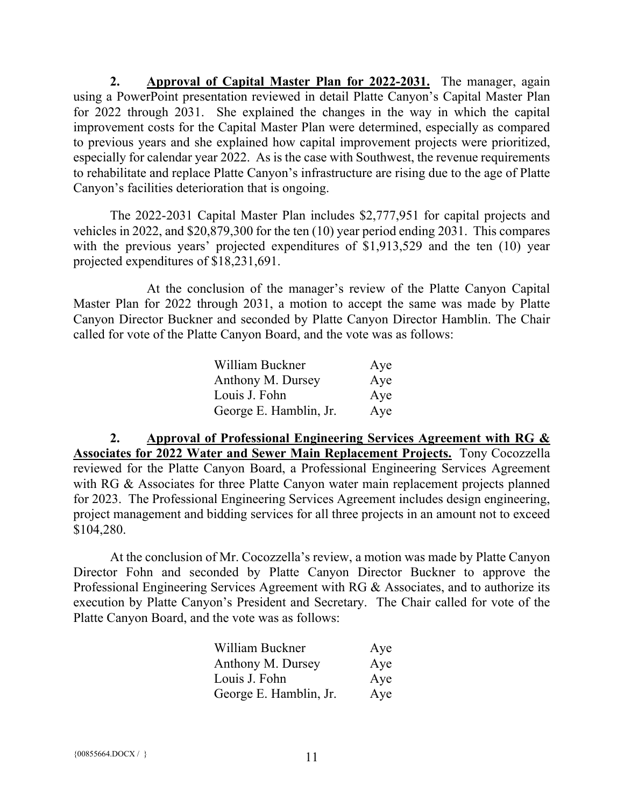**2. Approval of Capital Master Plan for 2022-2031.** The manager, again using a PowerPoint presentation reviewed in detail Platte Canyon's Capital Master Plan for 2022 through 2031. She explained the changes in the way in which the capital improvement costs for the Capital Master Plan were determined, especially as compared to previous years and she explained how capital improvement projects were prioritized, especially for calendar year 2022. As is the case with Southwest, the revenue requirements to rehabilitate and replace Platte Canyon's infrastructure are rising due to the age of Platte Canyon's facilities deterioration that is ongoing.

The 2022-2031 Capital Master Plan includes \$2,777,951 for capital projects and vehicles in 2022, and \$20,879,300 for the ten (10) year period ending 2031. This compares with the previous years' projected expenditures of \$1,913,529 and the ten (10) year projected expenditures of \$18,231,691.

At the conclusion of the manager's review of the Platte Canyon Capital Master Plan for 2022 through 2031, a motion to accept the same was made by Platte Canyon Director Buckner and seconded by Platte Canyon Director Hamblin. The Chair called for vote of the Platte Canyon Board, and the vote was as follows:

| William Buckner        | Aye |
|------------------------|-----|
| Anthony M. Dursey      | Aye |
| Louis J. Fohn          | Aye |
| George E. Hamblin, Jr. | Aye |

**2. Approval of Professional Engineering Services Agreement with RG & Associates for 2022 Water and Sewer Main Replacement Projects.** Tony Cocozzella reviewed for the Platte Canyon Board, a Professional Engineering Services Agreement with RG & Associates for three Platte Canyon water main replacement projects planned for 2023. The Professional Engineering Services Agreement includes design engineering, project management and bidding services for all three projects in an amount not to exceed \$104,280.

At the conclusion of Mr. Cocozzella's review, a motion was made by Platte Canyon Director Fohn and seconded by Platte Canyon Director Buckner to approve the Professional Engineering Services Agreement with RG & Associates, and to authorize its execution by Platte Canyon's President and Secretary. The Chair called for vote of the Platte Canyon Board, and the vote was as follows:

| William Buckner        | Aye |
|------------------------|-----|
| Anthony M. Dursey      | Aye |
| Louis J. Fohn          | Aye |
| George E. Hamblin, Jr. | Aye |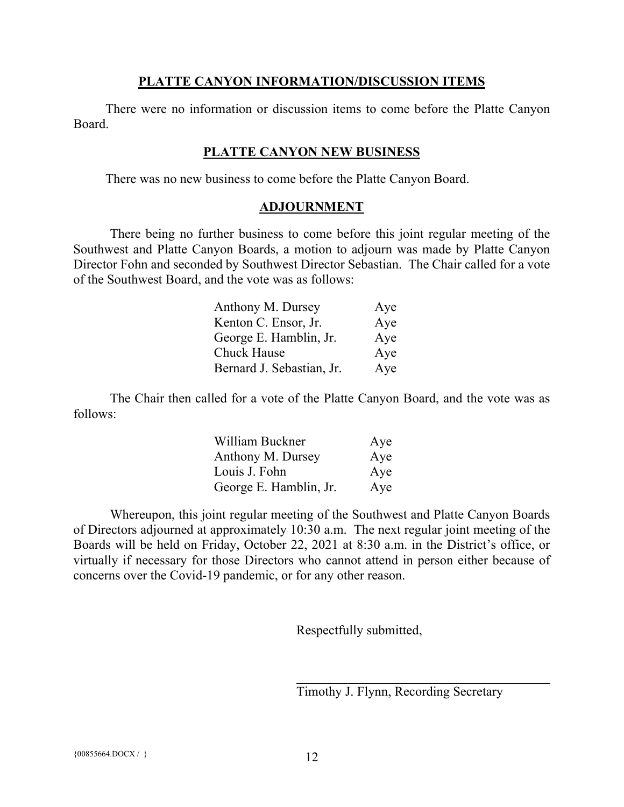### **PLATTE CANYON INFORMATION/DISCUSSION ITEMS**

There were no information or discussion items to come before the Platte Canyon Board.

## **PLATTE CANYON NEW BUSINESS**

There was no new business to come before the Platte Canyon Board.

## **ADJOURNMENT**

There being no further business to come before this joint regular meeting of the Southwest and Platte Canyon Boards, a motion to adjourn was made by Platte Canyon Director Fohn and seconded by Southwest Director Sebastian. The Chair called for a vote of the Southwest Board, and the vote was as follows:

| Anthony M. Dursey         | Aye |
|---------------------------|-----|
| Kenton C. Ensor, Jr.      | Aye |
| George E. Hamblin, Jr.    | Aye |
| <b>Chuck Hause</b>        | Aye |
| Bernard J. Sebastian, Jr. | Aye |

The Chair then called for a vote of the Platte Canyon Board, and the vote was as follows:

| William Buckner        | Aye |
|------------------------|-----|
| Anthony M. Dursey      | Aye |
| Louis J. Fohn          | Aye |
| George E. Hamblin, Jr. | Aye |

Whereupon, this joint regular meeting of the Southwest and Platte Canyon Boards of Directors adjourned at approximately 10:30 a.m. The next regular joint meeting of the Boards will be held on Friday, October 22, 2021 at 8:30 a.m. in the District's office, or virtually if necessary for those Directors who cannot attend in person either because of concerns over the Covid-19 pandemic, or for any other reason.

Respectfully submitted,

Timothy J. Flynn, Recording Secretary